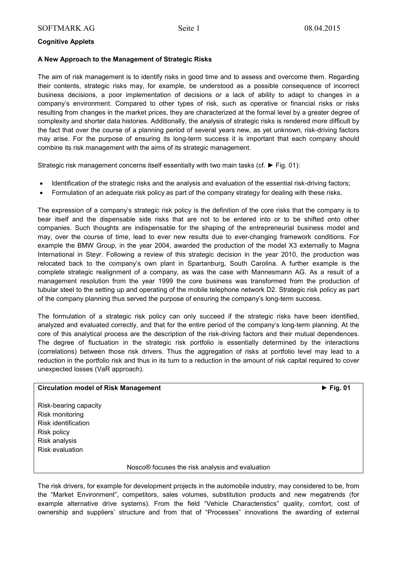# **Cognitive Applets**

## **A New Approach to the Management of Strategic Risks**

The aim of risk management is to identify risks in good time and to assess and overcome them. Regarding their contents, strategic risks may, for example, be understood as a possible consequence of incorrect business decisions, a poor implementation of decisions or a lack of ability to adapt to changes in a company's environment. Compared to other types of risk, such as operative or financial risks or risks resulting from changes in the market prices, they are characterized at the formal level by a greater degree of complexity and shorter data histories. Additionally, the analysis of strategic risks is rendered more difficult by the fact that over the course of a planning period of several years new, as yet unknown, risk-driving factors may arise. For the purpose of ensuring its long-term success it is important that each company should combine its risk management with the aims of its strategic management.

Strategic risk management concerns itself essentially with two main tasks (cf. **►** Fig. 01):

- Identification of the strategic risks and the analysis and evaluation of the essential risk-driving factors;
- Formulation of an adequate risk policy as part of the company strategy for dealing with these risks.

The expression of a company's strategic risk policy is the definition of the core risks that the company is to bear itself and the dispensable side risks that are not to be entered into or to be shifted onto other companies. Such thoughts are indispensable for the shaping of the entrepreneurial business model and may, over the course of time, lead to ever new results due to ever-changing framework conditions. For example the BMW Group, in the year 2004, awarded the production of the model X3 externally to Magna International in Steyr. Following a review of this strategic decision in the year 2010, the production was relocated back to the company's own plant in Spartanburg, South Carolina. A further example is the complete strategic realignment of a company, as was the case with Mannesmann AG. As a result of a management resolution from the year 1999 the core business was transformed from the production of tubular steel to the setting up and operating of the mobile telephone network D2. Strategic risk policy as part of the company planning thus served the purpose of ensuring the company's long-term success.

The formulation of a strategic risk policy can only succeed if the strategic risks have been identified, analyzed and evaluated correctly, and that for the entire period of the company's long-term planning. At the core of this analytical process are the description of the risk-driving factors and their mutual dependences. The degree of fluctuation in the strategic risk portfolio is essentially determined by the interactions (correlations) between those risk drivers. Thus the aggregation of risks at portfolio level may lead to a reduction in the portfolio risk and thus in its turn to a reduction in the amount of risk capital required to cover unexpected losses (VaR approach).

## **Circulation model of Risk Management ► Fig. 01**

Risk-bearing capacity Risk monitoring Risk identification Risk policy Risk analysis Risk evaluation

Nosco® focuses the risk analysis and evaluation

The risk drivers, for example for development projects in the automobile industry, may considered to be, from the "Market Environment", competitors, sales volumes, substitution products and new megatrends (for example alternative drive systems). From the field "Vehicle Characteristics" quality, comfort, cost of ownership and suppliers' structure and from that of "Processes" innovations the awarding of external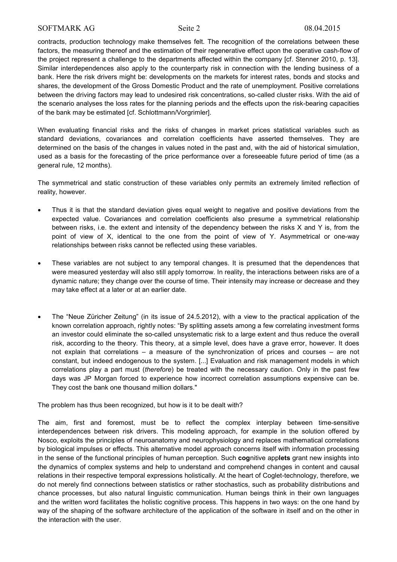contracts, production technology make themselves felt. The recognition of the correlations between these factors, the measuring thereof and the estimation of their regenerative effect upon the operative cash-flow of the project represent a challenge to the departments affected within the company [cf. Stenner 2010, p. 13]. Similar interdependences also apply to the counterparty risk in connection with the lending business of a bank. Here the risk drivers might be: developments on the markets for interest rates, bonds and stocks and shares, the development of the Gross Domestic Product and the rate of unemployment. Positive correlations between the driving factors may lead to undesired risk concentrations, so-called cluster risks. With the aid of the scenario analyses the loss rates for the planning periods and the effects upon the risk-bearing capacities of the bank may be estimated [cf. Schlottmann/Vorgrimler].

When evaluating financial risks and the risks of changes in market prices statistical variables such as standard deviations, covariances and correlation coefficients have asserted themselves. They are determined on the basis of the changes in values noted in the past and, with the aid of historical simulation, used as a basis for the forecasting of the price performance over a foreseeable future period of time (as a general rule, 12 months).

The symmetrical and static construction of these variables only permits an extremely limited reflection of reality, however.

- Thus it is that the standard deviation gives equal weight to negative and positive deviations from the expected value. Covariances and correlation coefficients also presume a symmetrical relationship between risks, i.e. the extent and intensity of the dependency between the risks X and Y is, from the point of view of X, identical to the one from the point of view of Y. Asymmetrical or one-way relationships between risks cannot be reflected using these variables.
- These variables are not subject to any temporal changes. It is presumed that the dependences that were measured yesterday will also still apply tomorrow. In reality, the interactions between risks are of a dynamic nature; they change over the course of time. Their intensity may increase or decrease and they may take effect at a later or at an earlier date.
- The "Neue Züricher Zeitung" (in its issue of 24.5.2012), with a view to the practical application of the known correlation approach, rightly notes: "By splitting assets among a few correlating investment forms an investor could eliminate the so-called unsystematic risk to a large extent and thus reduce the overall risk, according to the theory. This theory, at a simple level, does have a grave error, however. It does not explain that correlations – a measure of the synchronization of prices and courses – are not constant, but indeed endogenous to the system. [...] Evaluation and risk management models in which correlations play a part must (*therefore*) be treated with the necessary caution. Only in the past few days was JP Morgan forced to experience how incorrect correlation assumptions expensive can be. They cost the bank one thousand million dollars."

The problem has thus been recognized, but how is it to be dealt with?

The aim, first and foremost, must be to reflect the complex interplay between time-sensitive interdependences between risk drivers. This modeling approach, for example in the solution offered by Nosco, exploits the principles of neuroanatomy and neurophysiology and replaces mathematical correlations by biological impulses or effects. This alternative model approach concerns itself with information processing in the sense of the functional principles of human perception. Such **cog**nitive app**lets** grant new insights into the dynamics of complex systems and help to understand and comprehend changes in content and causal relations in their respective temporal expressions holistically. At the heart of Coglet-technology, therefore, we do not merely find connections between statistics or rather stochastics, such as probability distributions and chance processes, but also natural linguistic communication. Human beings think in their own languages and the written word facilitates the holistic cognitive process. This happens in two ways: on the one hand by way of the shaping of the software architecture of the application of the software in itself and on the other in the interaction with the user.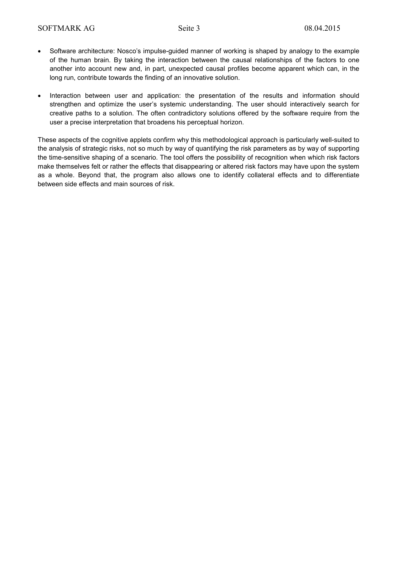- Software architecture: Nosco's impulse-guided manner of working is shaped by analogy to the example of the human brain. By taking the interaction between the causal relationships of the factors to one another into account new and, in part, unexpected causal profiles become apparent which can, in the long run, contribute towards the finding of an innovative solution.
- Interaction between user and application: the presentation of the results and information should strengthen and optimize the user's systemic understanding. The user should interactively search for creative paths to a solution. The often contradictory solutions offered by the software require from the user a precise interpretation that broadens his perceptual horizon.

These aspects of the cognitive applets confirm why this methodological approach is particularly well-suited to the analysis of strategic risks, not so much by way of quantifying the risk parameters as by way of supporting the time-sensitive shaping of a scenario. The tool offers the possibility of recognition when which risk factors make themselves felt or rather the effects that disappearing or altered risk factors may have upon the system as a whole. Beyond that, the program also allows one to identify collateral effects and to differentiate between side effects and main sources of risk.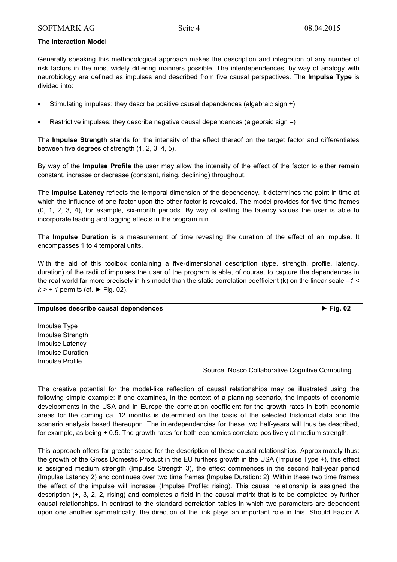## **The Interaction Model**

Generally speaking this methodological approach makes the description and integration of any number of risk factors in the most widely differing manners possible. The interdependences, by way of analogy with neurobiology are defined as impulses and described from five causal perspectives. The **Impulse Type** is divided into:

- Stimulating impulses: they describe positive causal dependences (algebraic sign +)
- Restrictive impulses: they describe negative causal dependences (algebraic sign –)

The **Impulse Strength** stands for the intensity of the effect thereof on the target factor and differentiates between five degrees of strength (1, 2, 3, 4, 5).

By way of the **Impulse Profile** the user may allow the intensity of the effect of the factor to either remain constant, increase or decrease (constant, rising, declining) throughout.

The **Impulse Latency** reflects the temporal dimension of the dependency. It determines the point in time at which the influence of one factor upon the other factor is revealed. The model provides for five time frames (0, 1, 2, 3, 4), for example, six-month periods. By way of setting the latency values the user is able to incorporate leading and lagging effects in the program run.

The **Impulse Duration** is a measurement of time revealing the duration of the effect of an impulse. It encompasses 1 to 4 temporal units.

With the aid of this toolbox containing a five-dimensional description (type, strength, profile, latency, duration) of the radii of impulses the user of the program is able, of course, to capture the dependences in the real world far more precisely in his model than the static correlation coefficient (k) on the linear scale *–1 < k > + 1* permits (cf. **►** Fig. 02).

| Impulses describe causal dependences                                                       | $\blacktriangleright$ Fig. 02                   |
|--------------------------------------------------------------------------------------------|-------------------------------------------------|
| Impulse Type<br>Impulse Strength<br>Impulse Latency<br>Impulse Duration<br>Impulse Profile |                                                 |
|                                                                                            | Source: Nosco Collaborative Cognitive Computing |

The creative potential for the model-like reflection of causal relationships may be illustrated using the following simple example: if one examines, in the context of a planning scenario, the impacts of economic developments in the USA and in Europe the correlation coefficient for the growth rates in both economic areas for the coming ca. 12 months is determined on the basis of the selected historical data and the scenario analysis based thereupon. The interdependencies for these two half-years will thus be described, for example, as being + 0.5. The growth rates for both economies correlate positively at medium strength.

This approach offers far greater scope for the description of these causal relationships. Approximately thus: the growth of the Gross Domestic Product in the EU furthers growth in the USA (Impulse Type +), this effect is assigned medium strength (Impulse Strength 3), the effect commences in the second half-year period (Impulse Latency 2) and continues over two time frames (Impulse Duration: 2). Within these two time frames the effect of the impulse will increase (Impulse Profile: rising). This causal relationship is assigned the description (+, 3, 2, 2, rising) and completes a field in the causal matrix that is to be completed by further causal relationships. In contrast to the standard correlation tables in which two parameters are dependent upon one another symmetrically, the direction of the link plays an important role in this. Should Factor A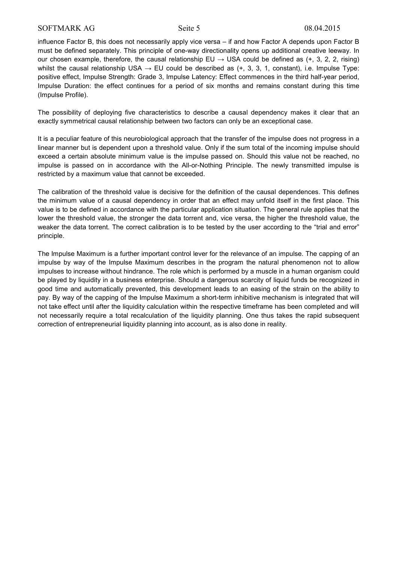influence Factor B, this does not necessarily apply vice versa – if and how Factor A depends upon Factor B must be defined separately. This principle of one-way directionality opens up additional creative leeway. In our chosen example, therefore, the causal relationship EU  $\rightarrow$  USA could be defined as (+, 3, 2, 2, rising) whilst the causal relationship USA  $\rightarrow$  EU could be described as (+, 3, 3, 1, constant), i.e. Impulse Type: positive effect, Impulse Strength: Grade 3, Impulse Latency: Effect commences in the third half-year period, Impulse Duration: the effect continues for a period of six months and remains constant during this time (Impulse Profile).

The possibility of deploying five characteristics to describe a causal dependency makes it clear that an exactly symmetrical causal relationship between two factors can only be an exceptional case.

It is a peculiar feature of this neurobiological approach that the transfer of the impulse does not progress in a linear manner but is dependent upon a threshold value. Only if the sum total of the incoming impulse should exceed a certain absolute minimum value is the impulse passed on. Should this value not be reached, no impulse is passed on in accordance with the All-or-Nothing Principle. The newly transmitted impulse is restricted by a maximum value that cannot be exceeded.

The calibration of the threshold value is decisive for the definition of the causal dependences. This defines the minimum value of a causal dependency in order that an effect may unfold itself in the first place. This value is to be defined in accordance with the particular application situation. The general rule applies that the lower the threshold value, the stronger the data torrent and, vice versa, the higher the threshold value, the weaker the data torrent. The correct calibration is to be tested by the user according to the "trial and error" principle.

The Impulse Maximum is a further important control lever for the relevance of an impulse. The capping of an impulse by way of the Impulse Maximum describes in the program the natural phenomenon not to allow impulses to increase without hindrance. The role which is performed by a muscle in a human organism could be played by liquidity in a business enterprise. Should a dangerous scarcity of liquid funds be recognized in good time and automatically prevented, this development leads to an easing of the strain on the ability to pay. By way of the capping of the Impulse Maximum a short-term inhibitive mechanism is integrated that will not take effect until after the liquidity calculation within the respective timeframe has been completed and will not necessarily require a total recalculation of the liquidity planning. One thus takes the rapid subsequent correction of entrepreneurial liquidity planning into account, as is also done in reality.